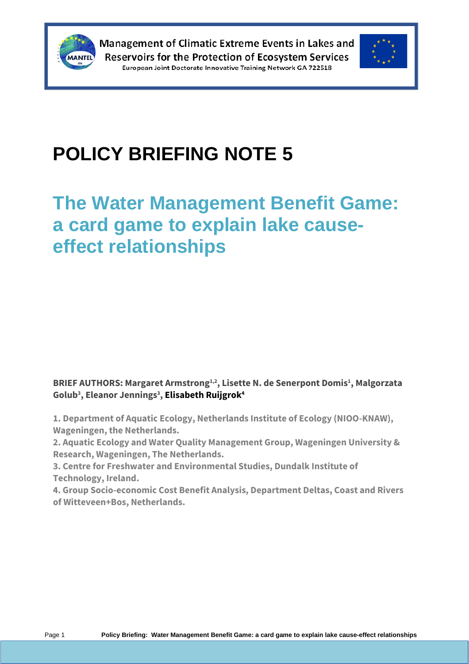



# **POLICY BRIEFING NOTE 5**

## **The Water Management Benefit Game: a card game to explain lake causeeffect relationships**

**BRIEF AUTHORS: Margaret Armstrong1,2, Lisette N. de Senerpont Domis<sup>1</sup> , Malgorzata Golub<sup>3</sup> , Eleanor Jennings<sup>3</sup> , Elisabeth Ruijgrok<sup>4</sup>**

**1. Department of Aquatic Ecology, Netherlands Institute of Ecology (NIOO-KNAW), Wageningen, the Netherlands.**

**2. Aquatic Ecology and Water Quality Management Group, Wageningen University & Research, Wageningen, The Netherlands.**

**3. Centre for Freshwater and Environmental Studies, Dundalk Institute of Technology, Ireland.**

**4. Group Socio-economic Cost Benefit Analysis, Department Deltas, Coast and Rivers of Witteveen+Bos, Netherlands.**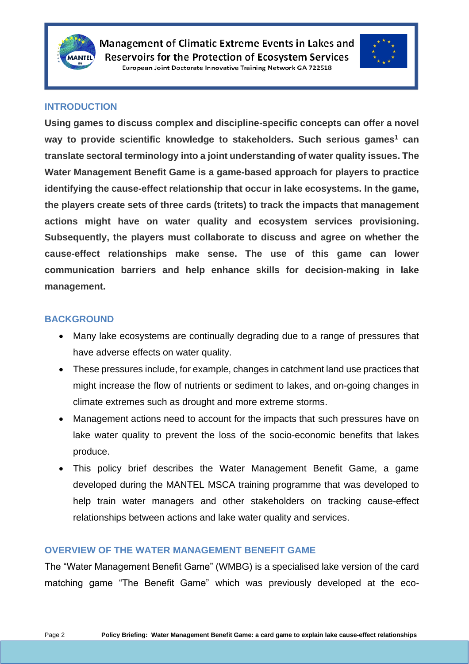



#### **INTRODUCTION**

**Using games to discuss complex and discipline-specific concepts can offer a novel way to provide scientific knowledge to stakeholders. Such serious games<sup>1</sup> can translate sectoral terminology into a joint understanding of water quality issues. The Water Management Benefit Game is a game-based approach for players to practice identifying the cause-effect relationship that occur in lake ecosystems. In the game, the players create sets of three cards (tritets) to track the impacts that management actions might have on water quality and ecosystem services provisioning. Subsequently, the players must collaborate to discuss and agree on whether the cause-effect relationships make sense. The use of this game can lower communication barriers and help enhance skills for decision-making in lake management.**

#### **BACKGROUND**

- Many lake ecosystems are continually degrading due to a range of pressures that have adverse effects on water quality.
- These pressures include, for example, changes in catchment land use practices that might increase the flow of nutrients or sediment to lakes, and on-going changes in climate extremes such as drought and more extreme storms.
- Management actions need to account for the impacts that such pressures have on lake water quality to prevent the loss of the socio-economic benefits that lakes produce.
- This policy brief describes the Water Management Benefit Game, a game developed during the MANTEL MSCA training programme that was developed to help train water managers and other stakeholders on tracking cause-effect relationships between actions and lake water quality and services.

#### **OVERVIEW OF THE WATER MANAGEMENT BENEFIT GAME**

The "Water Management Benefit Game" (WMBG) is a specialised lake version of the card matching game "The Benefit Game" which was previously developed at the eco-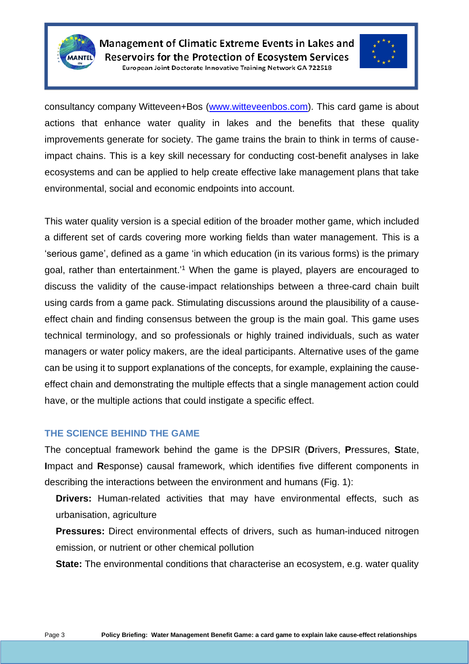



consultancy company Witteveen+Bos [\(www.witteveenbos.com\)](http://www.witteveenbos.com/). This card game is about actions that enhance water quality in lakes and the benefits that these quality improvements generate for society. The game trains the brain to think in terms of causeimpact chains. This is a key skill necessary for conducting cost-benefit analyses in lake ecosystems and can be applied to help create effective lake management plans that take environmental, social and economic endpoints into account.

This water quality version is a special edition of the broader mother game, which included a different set of cards covering more working fields than water management. This is a 'serious game', defined as a game 'in which education (in its various forms) is the primary goal, rather than entertainment.'<sup>1</sup> When the game is played, players are encouraged to discuss the validity of the cause-impact relationships between a three-card chain built using cards from a game pack. Stimulating discussions around the plausibility of a causeeffect chain and finding consensus between the group is the main goal. This game uses technical terminology, and so professionals or highly trained individuals, such as water managers or water policy makers, are the ideal participants. Alternative uses of the game can be using it to support explanations of the concepts, for example, explaining the causeeffect chain and demonstrating the multiple effects that a single management action could have, or the multiple actions that could instigate a specific effect.

#### **THE SCIENCE BEHIND THE GAME**

The conceptual framework behind the game is the DPSIR (**D**rivers, **P**ressures, **S**tate, **I**mpact and **R**esponse) causal framework, which identifies five different components in describing the interactions between the environment and humans (Fig. 1):

**Drivers:** Human-related activities that may have environmental effects, such as urbanisation, agriculture

**Pressures:** Direct environmental effects of drivers, such as human-induced nitrogen emission, or nutrient or other chemical pollution

**State:** The environmental conditions that characterise an ecosystem, e.g. water quality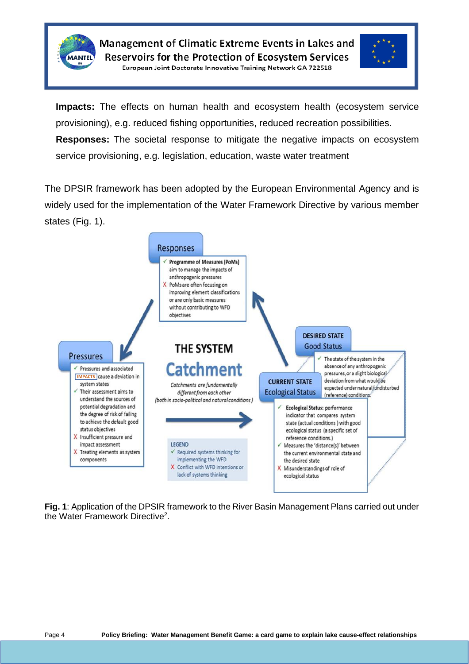



**Impacts:** The effects on human health and ecosystem health (ecosystem service provisioning), e.g. reduced fishing opportunities, reduced recreation possibilities. **Responses:** The societal response to mitigate the negative impacts on ecosystem service provisioning, e.g. legislation, education, waste water treatment

The DPSIR framework has been adopted by the European Environmental Agency and is widely used for the implementation of the Water Framework Directive by various member states (Fig. 1).



**Fig. 1**: Application of the DPSIR framework to the River Basin Management Plans carried out under the Water Framework Directive<sup>2</sup>.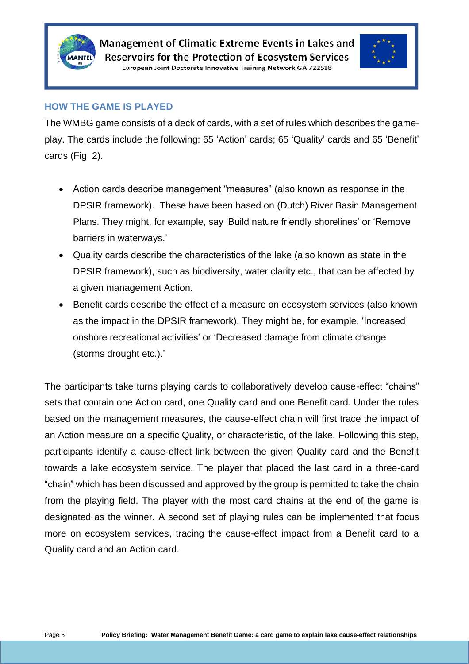



#### **HOW THE GAME IS PLAYED**

The WMBG game consists of a deck of cards, with a set of rules which describes the gameplay. The cards include the following: 65 'Action' cards; 65 'Quality' cards and 65 'Benefit' cards (Fig. 2).

- Action cards describe management "measures" (also known as response in the DPSIR framework). These have been based on (Dutch) River Basin Management Plans. They might, for example, say 'Build nature friendly shorelines' or 'Remove barriers in waterways.'
- Quality cards describe the characteristics of the lake (also known as state in the DPSIR framework), such as biodiversity, water clarity etc., that can be affected by a given management Action.
- Benefit cards describe the effect of a measure on ecosystem services (also known as the impact in the DPSIR framework). They might be, for example, 'Increased onshore recreational activities' or 'Decreased damage from climate change (storms drought etc.).'

The participants take turns playing cards to collaboratively develop cause-effect "chains" sets that contain one Action card, one Quality card and one Benefit card. Under the rules based on the management measures, the cause-effect chain will first trace the impact of an Action measure on a specific Quality, or characteristic, of the lake. Following this step, participants identify a cause-effect link between the given Quality card and the Benefit towards a lake ecosystem service. The player that placed the last card in a three-card "chain" which has been discussed and approved by the group is permitted to take the chain from the playing field. The player with the most card chains at the end of the game is designated as the winner. A second set of playing rules can be implemented that focus more on ecosystem services, tracing the cause-effect impact from a Benefit card to a Quality card and an Action card.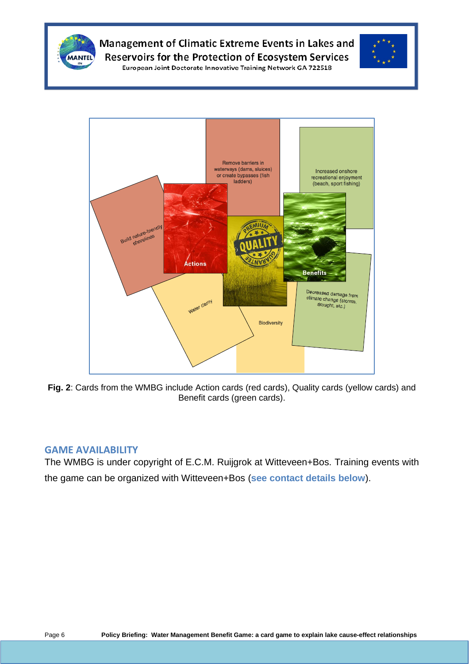



**Fig. 2**: Cards from the WMBG include Action cards (red cards), Quality cards (yellow cards) and Benefit cards (green cards).

#### **GAME AVAILABILITY**

The WMBG is under copyright of E.C.M. Ruijgrok at Witteveen+Bos. Training events with the game can be organized with Witteveen+Bos (**see contact details below**).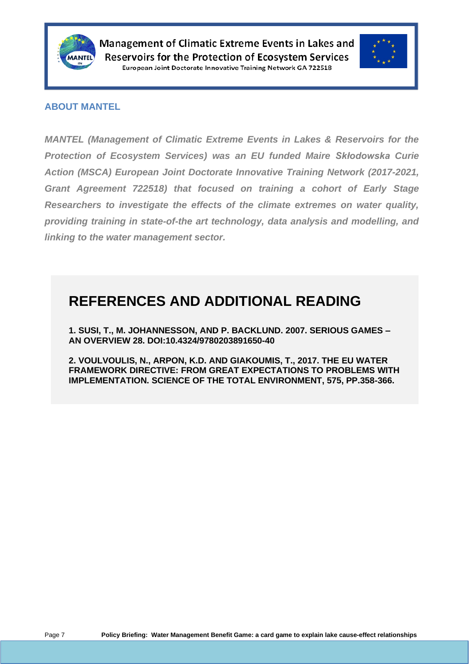



#### **ABOUT MANTEL**

*MANTEL (Management of Climatic Extreme Events in Lakes & Reservoirs for the Protection of Ecosystem Services) was an EU funded Maire Skłodowska Curie Action (MSCA) European Joint Doctorate Innovative Training Network (2017-2021, Grant Agreement 722518) that focused on training a cohort of Early Stage Researchers to investigate the effects of the climate extremes on water quality, providing training in state-of-the art technology, data analysis and modelling, and linking to the water management sector.*

### **REFERENCES AND ADDITIONAL READING**

**1. SUSI, T., M. JOHANNESSON, AND P. BACKLUND. 2007. SERIOUS GAMES – AN OVERVIEW 28. DOI:10.4324/9780203891650-40**

**2. VOULVOULIS, N., ARPON, K.D. AND GIAKOUMIS, T., 2017. THE EU WATER FRAMEWORK DIRECTIVE: FROM GREAT EXPECTATIONS TO PROBLEMS WITH IMPLEMENTATION. SCIENCE OF THE TOTAL ENVIRONMENT, 575, PP.358-366.**